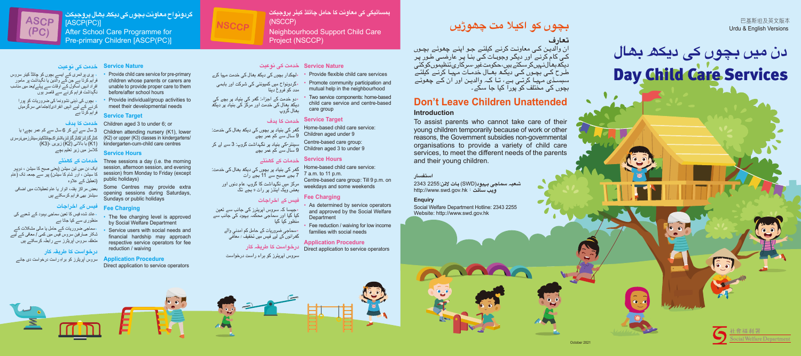**گردونواح معاونت بچوں کی دیکھ بھال پروجیکٹ** [ASCP(PC)] After School Care Programme for Pre-primary Children [ASCP(PC)]



۰ پری پرائمری کے ایسے بچوں کو چائلڈ کیئر سروس فراہم کرتا ہے جن کے والدین یا نگہداشت پر مامور

(تعطیل کے علاوه session) from Monday to Friday (except

کرنے کے لیے انہیں انفرادی/اجتماعی سرگرمیاں فراہم کرتا ہے **خدمت کا ہدف**

3 سال سے لے کر 6 سال سے کم عمر بچے؛ یا

#### **خدمات کے گھنٹے**

**خدمت کی نوعیت Service Nature**

ایک دن میں تین سیشن (یعنی صبح کا سیشن ، دوپہر کا سیشن ، اور شام کا سیشن) پیر سے جمعہ تک (عام

بعض مراکز ہفتہ، اتوار یا عام تعطیلات میں اضافی سیشنز بھی فراہم کرسکتے ہیں

افراد انہیں اسکول کے اوقات سے پہلے/بعد میں مناسب نگہداشت فراہم کرنے سے قاصر ہوں ۰ بچوں کی ذہنی نشوونما کی ضروریات کو پورا unable to provide proper care to them before/after school hours • Provide individual/group activities to meet their developmental needs

### **فیس کے اخراجات**

۰عائد شده فیس کا تعین سماجی بہبود کے شعبے کی منظوری سے کیا جاتا ہے

#### The fee charging level is approved by Social Welfare Department • Service users with social needs and

#### **درخواست کا طریقہ کار**

• Provide child care service for pre-primary children whose parents or carers are

**Service Target**

Children aged 3 to under 6; or

Children attending nursery (K1), lower (K2) or upper (K3) classes in kindergartens/ kindergarten-cum-child care centres

- Provide flexible child care services • Promote community participation and mutual help in the neighbourhood
- Two service components: home-based child care service and centre-based care group

**Service Hours**



Three sessions a day (i.e. the morning session, afternoon session, and evening

public holidays)

Some Centres may provide extra opening sessions during Saturdays,

- As determined by service operators and approved by the Social Welfare
- Fee reduction / waiving for low income

Sundays or public holidays

# **Fee Charging**

کنڈر گار ٹنز /کنڈر گار ٹنز بااشتر اک چائلڈکیئر سینٹر ز میر نر سر ی (1K (یا بالائی (2K (زیریں ،(3K( کلاسز میں زیر تعلیم بچے ِ

financial hardship may approach respective service operators for fee reduction / waiving

#### **Application Procedure** Direct application to service operators







**ہمسائیگی کی معاونت کا حامل چائلڈ کیئر پروجیکٹ** (NSCCP) Neighbourhood Support Child Care Project (NSCCP)

**٠**لچکدار بچوں کی دیکھ بھال کی خدمت مہیا کرے **٠**گردونواح میں کمیونٹی کی شرکت اور باہمی مدد کو فروغ دینا

۰سماجی ضروریات کے حامل یا مالی مشکلات کے شکار صارفین سروس فیس میں کمی / معافی کے لیے متعلقہ سروس آپریڻرز سے رابطہ کرسکتے ہیں ِ

**٠**دو خدمت کے اجزاء: گھر کی بنیاد پر بچے کی دیکھ بھال کی خدمت اور مرکز کی بنیاد پر دیکھ بھال گروپ

سروس آپریڻرز کو براه راست درخواست دی جائے ِ

 گھر کی بنیاد پر بچوں کی دیکھ بھال کی خدمت: 9 سال سے کم عمر بچے سینٹر-کی بنیاد پر نگہداشت گروپ: 3 سے لے کر 9 سال سے کم عمر بچے

#### **خدمت کی نوعیت Service Nature**

 گھر کی بنیاد پر بچوں کی دیکھ بھال کی خدمت: 7 بجے صبح سے 11 بجے رات مرکز میں نگہداشت کا گروپ: عام دنوں اور بعض ویک اینڈز پر رات 9 بجے تک

### **فیس کے اخراجات**

**Department** 

**٠**جیسا کہ سروس آپریٹرز کی جانب سے تعین کیا گیا اور سماجی محکمہ بہبود کی جانب سے

### **خدمت کا ہدف Service Target**

منظور کیا گیا

گھرانوں کے لیے فیس میں تخفیف / معافی **<sup>٠</sup>**سماجی ضروریات کے حامل کم آمدنی والے

### **خدمات کے گھنٹے Service Hours**

سروس آپریٹرز کو براہ راست درخواست

Home-based child care service: Children aged under 9 Centre-based care group: Children aged 3 to under 9

**درخواست کا طریقہ کار Application Procedure**

Home-based child care service: 7 a.m. to 11 p.m. Centre-based care group: Till 9 p.m. on weekdays and some weekends

#### **Fee Charging**

families with social needs

Direct application to service operators

**بچوں کو اکیلا مت چھوڑیں**



ان والدیـن کـی معاونـت کرنـے کیلئـے جـو اپنـے چھوٹـے بچـوں کـی کام کرنـے اور دیگـر وجوہـات کـی بنـا پـر عارضـی طـور پـر دیکھ بھال نہیں کر سکتے ہیں، حکومت غیر-سرکاری تنظیموں کو کئی طـرح کـی بچـوں کـی دیکـھ بھـال خدمـات مہیـا کرنـے کیلئـے سبسـڈی مہیـا کرتـی ہـے، تـا کـہ والدیـن اور ان کـے چھوٹـے بچوں کی مختلف کو پورا کیا جا سکے۔

# **Don't Leave Children Unattended**

### **Introduction**

To assist parents who cannot take care of their young children temporarily because of work or other reasons, the Government subsidies non-governmental organisations to provide a variety of child care services, to meet the different needs of the parents and their young children.

巴基斯坦及英文版本 Urdu & English Versions



#### **استفسار**

**شعبہ سماجی بہبود**(SWD (**ہاٹ لائن**2255: 2343 http://www**.**swd**.**gov**.**hk:**سائٹ ویب**

#### **Enquiry**

Social Welfare Department Hotline: 2343 2255 Website: http://www.swd.gov.hk